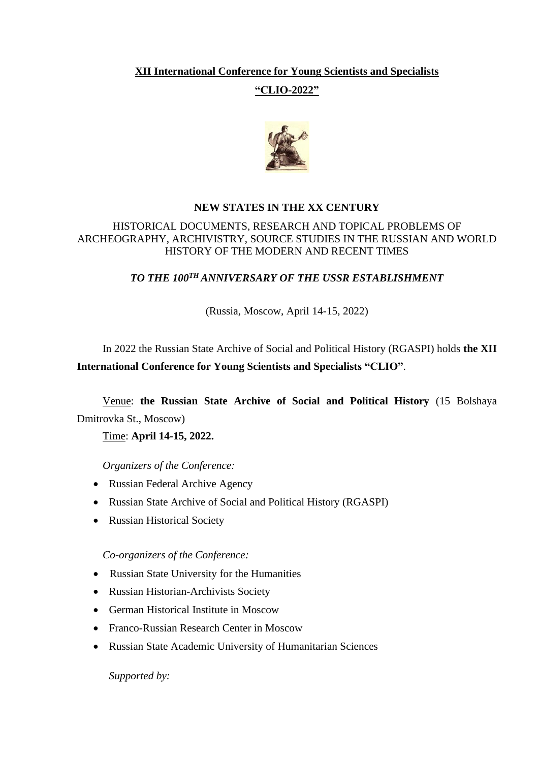## **XII International Conference for Young Scientists and Specialists**

## **"CLIO-2022"**



## **NEW STATES IN THE XX CENTURY**

### HISTORICAL DOCUMENTS, RESEARCH AND TOPICAL PROBLEMS OF ARCHEOGRAPHY, ARCHIVISTRY, SOURCE STUDIES IN THE RUSSIAN AND WORLD HISTORY OF THE MODERN AND RECENT TIMES

## *TO THE 100TH ANNIVERSARY OF THE USSR ESTABLISHMENT*

### (Russia, Moscow, April 14-15, 2022)

# In 2022 the Russian State Archive of Social and Political History (RGASPI) holds **the XII International Conference for Young Scientists and Specialists "CLIO"**.

## Venue: **the Russian State Archive of Social and Political History** (15 Bolshaya Dmitrovka St., Moscow)

## Time: **April 14-15, 2022.**

*Organizers of the Conference:*

- Russian Federal Archive Agency
- Russian State Archive of Social and Political History (RGASPI)
- Russian Historical Society

### *Co-organizers of the Conference:*

- Russian State University for the Humanities
- Russian Historian-Archivists Society
- German Historical Institute in Moscow
- Franco-Russian Research Center in Moscow
- Russian State Academic University of Humanitarian Sciences

*Supported by:*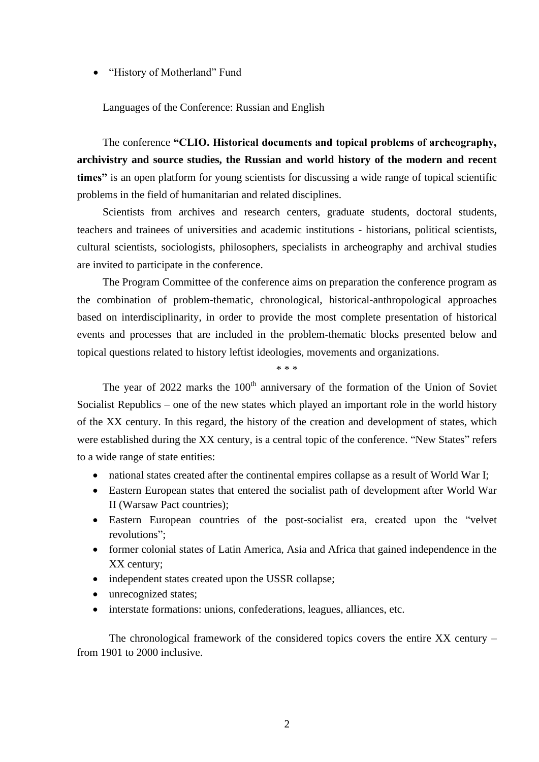• "History of Motherland" Fund

Languages of the Conference: Russian and English

The conference **"CLIO. Historical documents and topical problems of archeography, archivistry and source studies, the Russian and world history of the modern and recent times"** is an open platform for young scientists for discussing a wide range of topical scientific problems in the field of humanitarian and related disciplines.

Scientists from archives and research centers, graduate students, doctoral students, teachers and trainees of universities and academic institutions - historians, political scientists, cultural scientists, sociologists, philosophers, specialists in archeography and archival studies are invited to participate in the conference.

The Program Committee of the conference aims on preparation the conference program as the combination of problem-thematic, chronological, historical-anthropological approaches based on interdisciplinarity, in order to provide the most complete presentation of historical events and processes that are included in the problem-thematic blocks presented below and topical questions related to history leftist ideologies, movements and organizations.

\* \* \*

The year of  $2022$  marks the  $100<sup>th</sup>$  anniversary of the formation of the Union of Soviet Socialist Republics – one of the new states which played an important role in the world history of the XX century. In this regard, the history of the creation and development of states, which were established during the XX century, is a central topic of the conference. "New States" refers to a wide range of state entities:

- national states created after the continental empires collapse as a result of World War I;
- Eastern European states that entered the socialist path of development after World War II (Warsaw Pact countries);
- Eastern European countries of the post-socialist era, created upon the "velvet revolutions";
- former colonial states of Latin America. Asia and Africa that gained independence in the XX century;
- independent states created upon the USSR collapse;
- unrecognized states;
- interstate formations: unions, confederations, leagues, alliances, etc.

The chronological framework of the considered topics covers the entire XX century – from 1901 to 2000 inclusive.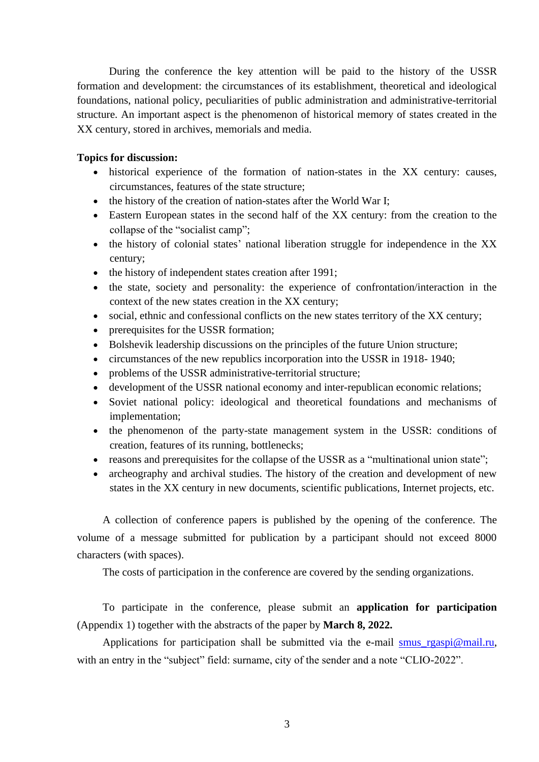During the conference the key attention will be paid to the history of the USSR formation and development: the circumstances of its establishment, theoretical and ideological foundations, national policy, peculiarities of public administration and administrative-territorial structure. An important aspect is the phenomenon of historical memory of states created in the XX century, stored in archives, memorials and media.

### **Topics for discussion:**

- historical experience of the formation of nation-states in the XX century: causes, circumstances, features of the state structure;
- the history of the creation of nation-states after the World War I;
- Eastern European states in the second half of the XX century: from the creation to the collapse of the "socialist camp";
- the history of colonial states' national liberation struggle for independence in the XX century;
- the history of independent states creation after 1991:
- the state, society and personality: the experience of confrontation/interaction in the context of the new states creation in the XX century;
- social, ethnic and confessional conflicts on the new states territory of the XX century;
- prerequisites for the USSR formation;
- Bolshevik leadership discussions on the principles of the future Union structure;
- circumstances of the new republics incorporation into the USSR in 1918- 1940;
- problems of the USSR administrative-territorial structure:
- development of the USSR national economy and inter-republican economic relations;
- Soviet national policy: ideological and theoretical foundations and mechanisms of implementation;
- the phenomenon of the party-state management system in the USSR: conditions of creation, features of its running, bottlenecks;
- reasons and prerequisites for the collapse of the USSR as a "multinational union state";
- archeography and archival studies. The history of the creation and development of new states in the XX century in new documents, scientific publications, Internet projects, etc.

A collection of conference papers is published by the opening of the conference. The volume of a message submitted for publication by a participant should not exceed 8000 characters (with spaces).

The costs of participation in the conference are covered by the sending organizations.

To participate in the conference, please submit an **application for participation** (Appendix 1) together with the abstracts of the paper by **March 8, 2022.**

Applications for participation shall be submitted via the e-mail [smus\\_rgaspi@mail.ru,](mailto:smus_rgaspi@mail.ru) with an entry in the "subject" field: surname, city of the sender and a note "CLIO-2022".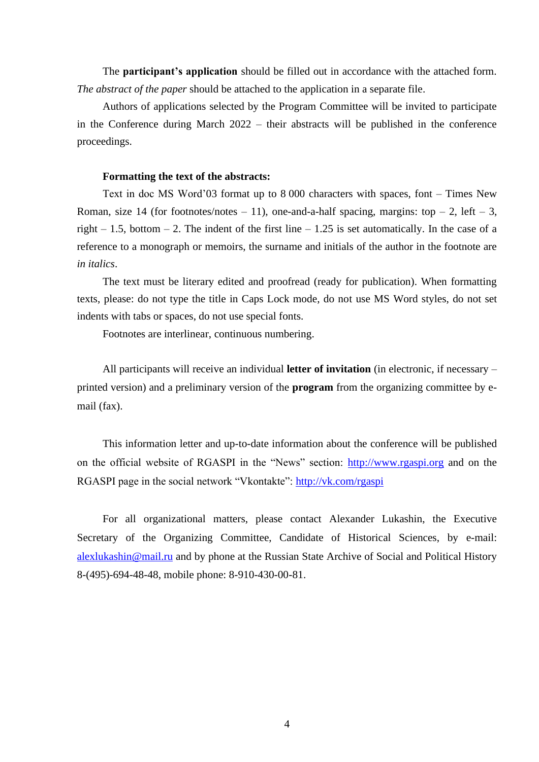The **participant's application** should be filled out in accordance with the attached form. *The abstract of the paper* should be attached to the application in a separate file.

Authors of applications selected by the Program Committee will be invited to participate in the Conference during March 2022 – their abstracts will be published in the conference proceedings.

#### **Formatting the text of the abstracts:**

Text in doc MS Word'03 format up to 8 000 characters with spaces, font – Times New Roman, size 14 (for footnotes/notes – 11), one-and-a-half spacing, margins: top – 2, left – 3, right – 1.5, bottom – 2. The indent of the first line – 1.25 is set automatically. In the case of a reference to a monograph or memoirs, the surname and initials of the author in the footnote are *in italics*.

The text must be literary edited and proofread (ready for publication). When formatting texts, please: do not type the title in Caps Lock mode, do not use MS Word styles, do not set indents with tabs or spaces, do not use special fonts.

Footnotes are interlinear, continuous numbering.

All participants will receive an individual **letter of invitation** (in electronic, if necessary – printed version) and a preliminary version of the **program** from the organizing committee by email (fax).

This information letter and up-to-date information about the conference will be published on the official website of RGASPI in the "News" section: [http://www.rgaspi.org](http://www.rgaspi.org/) and on the RGASPI page in the social network "Vkontakte":<http://vk.com/rgaspi>

For all organizational matters, please contact Alexander Lukashin, the Executive Secretary of the Organizing Committee, Candidate of Historical Sciences, by e-mail: [alexlukashin@mail.ru](mailto:alexlukashin@mail.ru) and by phone at the Russian State Archive of Social and Political History 8-(495)-694-48-48, mobile phone: 8-910-430-00-81.